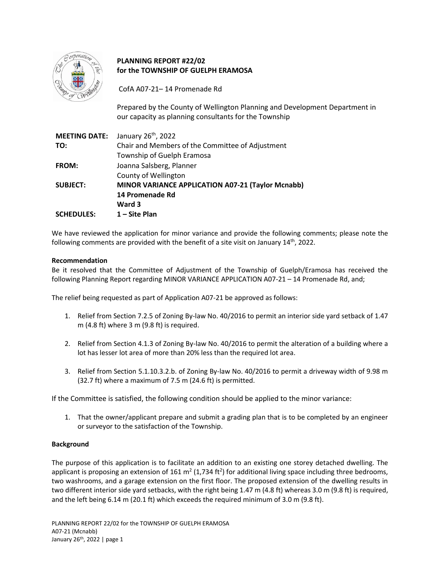

# **PLANNING REPORT #22/02 for the TOWNSHIP OF GUELPH ERAMOSA**

CofA A07-21– 14 Promenade Rd

Prepared by the County of Wellington Planning and Development Department in our capacity as planning consultants for the Township

| <b>MEETING DATE:</b> | January 26 <sup>th</sup> , 2022                   |
|----------------------|---------------------------------------------------|
| TO:                  | Chair and Members of the Committee of Adjustment  |
|                      | Township of Guelph Eramosa                        |
| FROM:                | Joanna Salsberg, Planner                          |
|                      | County of Wellington                              |
| <b>SUBJECT:</b>      | MINOR VARIANCE APPLICATION A07-21 (Taylor Mcnabb) |
|                      | 14 Promenade Rd                                   |
|                      | Ward 3                                            |
| <b>SCHEDULES:</b>    | 1 – Site Plan                                     |

We have reviewed the application for minor variance and provide the following comments; please note the following comments are provided with the benefit of a site visit on January  $14<sup>th</sup>$ , 2022.

### **Recommendation**

Be it resolved that the Committee of Adjustment of the Township of Guelph/Eramosa has received the following Planning Report regarding MINOR VARIANCE APPLICATION A07-21 – 14 Promenade Rd, and;

The relief being requested as part of Application A07-21 be approved as follows:

- 1. Relief from Section 7.2.5 of Zoning By-law No. 40/2016 to permit an interior side yard setback of 1.47 m (4.8 ft) where 3 m (9.8 ft) is required.
- 2. Relief from Section 4.1.3 of Zoning By-law No. 40/2016 to permit the alteration of a building where a lot has lesser lot area of more than 20% less than the required lot area.
- 3. Relief from Section 5.1.10.3.2.b. of Zoning By-law No. 40/2016 to permit a driveway width of 9.98 m (32.7 ft) where a maximum of 7.5 m (24.6 ft) is permitted.

If the Committee is satisfied, the following condition should be applied to the minor variance:

1. That the owner/applicant prepare and submit a grading plan that is to be completed by an engineer or surveyor to the satisfaction of the Township.

#### **Background**

The purpose of this application is to facilitate an addition to an existing one storey detached dwelling. The applicant is proposing an extension of 161 m<sup>2</sup> (1,734 ft<sup>2</sup>) for additional living space including three bedrooms, two washrooms, and a garage extension on the first floor. The proposed extension of the dwelling results in two different interior side yard setbacks, with the right being 1.47 m (4.8 ft) whereas 3.0 m (9.8 ft) is required, and the left being 6.14 m (20.1 ft) which exceeds the required minimum of 3.0 m (9.8 ft).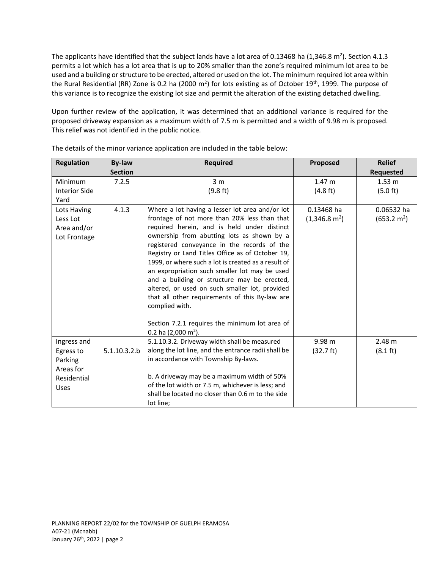The applicants have identified that the subject lands have a lot area of 0.13468 ha (1,346.8 m<sup>2</sup>). Section 4.1.3 permits a lot which has a lot area that is up to 20% smaller than the zone's required minimum lot area to be used and a building or structure to be erected, altered or used on the lot. The minimum required lot area within the Rural Residential (RR) Zone is 0.2 ha (2000 m<sup>2</sup>) for lots existing as of October 19<sup>th</sup>, 1999. The purpose of this variance is to recognize the existing lot size and permit the alteration of the existing detached dwelling.

Upon further review of the application, it was determined that an additional variance is required for the proposed driveway expansion as a maximum width of 7.5 m is permitted and a width of 9.98 m is proposed. This relief was not identified in the public notice.

| <b>Regulation</b>    | <b>By-law</b>  | <b>Required</b>                                                                               | Proposed                | <b>Relief</b>         |
|----------------------|----------------|-----------------------------------------------------------------------------------------------|-------------------------|-----------------------|
|                      | <b>Section</b> |                                                                                               |                         | Requested             |
| Minimum              | 7.2.5          | 3 <sub>m</sub>                                                                                | 1.47 <sub>m</sub>       | $1.53 \text{ m}$      |
| <b>Interior Side</b> |                | (9.8 ft)                                                                                      | (4.8 ft)                | (5.0 ft)              |
| Yard                 |                |                                                                                               |                         |                       |
| Lots Having          | 4.1.3          | Where a lot having a lesser lot area and/or lot                                               | 0.13468 ha              | 0.06532 ha            |
| Less Lot             |                | frontage of not more than 20% less than that                                                  | $(1,346.8 \text{ m}^2)$ | $(653.2 \text{ m}^2)$ |
| Area and/or          |                | required herein, and is held under distinct                                                   |                         |                       |
| Lot Frontage         |                | ownership from abutting lots as shown by a                                                    |                         |                       |
|                      |                | registered conveyance in the records of the                                                   |                         |                       |
|                      |                | Registry or Land Titles Office as of October 19,                                              |                         |                       |
|                      |                | 1999, or where such a lot is created as a result of                                           |                         |                       |
|                      |                | an expropriation such smaller lot may be used                                                 |                         |                       |
|                      |                | and a building or structure may be erected,<br>altered, or used on such smaller lot, provided |                         |                       |
|                      |                | that all other requirements of this By-law are                                                |                         |                       |
|                      |                | complied with.                                                                                |                         |                       |
|                      |                |                                                                                               |                         |                       |
|                      |                | Section 7.2.1 requires the minimum lot area of                                                |                         |                       |
|                      |                | 0.2 ha $(2,000 \text{ m}^2)$ .                                                                |                         |                       |
| Ingress and          |                | 5.1.10.3.2. Driveway width shall be measured                                                  | 9.98 m                  | 2.48 m                |
| Egress to            | 5.1.10.3.2.b   | along the lot line, and the entrance radii shall be                                           | (32.7 ft)               | $(8.1 \text{ ft})$    |
| Parking              |                | in accordance with Township By-laws.                                                          |                         |                       |
| Areas for            |                |                                                                                               |                         |                       |
| Residential          |                | b. A driveway may be a maximum width of 50%                                                   |                         |                       |
| <b>Uses</b>          |                | of the lot width or 7.5 m, whichever is less; and                                             |                         |                       |
|                      |                | shall be located no closer than 0.6 m to the side                                             |                         |                       |
|                      |                | lot line;                                                                                     |                         |                       |

The details of the minor variance application are included in the table below: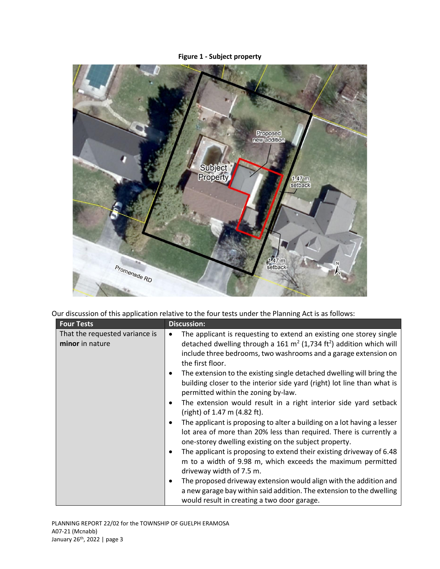# **Figure 1 - Subject property**



Our discussion of this application relative to the four tests under the Planning Act is as follows:

| <b>Four Tests</b>                                 | <b>Discussion:</b>                                                                                                                                                                                                                                                                                                             |
|---------------------------------------------------|--------------------------------------------------------------------------------------------------------------------------------------------------------------------------------------------------------------------------------------------------------------------------------------------------------------------------------|
| That the requested variance is<br>minor in nature | The applicant is requesting to extend an existing one storey single<br>٠<br>detached dwelling through a 161 $m^2$ (1,734 ft <sup>2</sup> ) addition which will<br>include three bedrooms, two washrooms and a garage extension on<br>the first floor.<br>The extension to the existing single detached dwelling will bring the |
|                                                   | building closer to the interior side yard (right) lot line than what is<br>permitted within the zoning by-law.                                                                                                                                                                                                                 |
|                                                   | The extension would result in a right interior side yard setback<br>(right) of 1.47 m (4.82 ft).                                                                                                                                                                                                                               |
|                                                   | The applicant is proposing to alter a building on a lot having a lesser<br>lot area of more than 20% less than required. There is currently a<br>one-storey dwelling existing on the subject property.                                                                                                                         |
|                                                   | The applicant is proposing to extend their existing driveway of 6.48<br>m to a width of 9.98 m, which exceeds the maximum permitted<br>driveway width of 7.5 m.                                                                                                                                                                |
|                                                   | The proposed driveway extension would align with the addition and<br>a new garage bay within said addition. The extension to the dwelling<br>would result in creating a two door garage.                                                                                                                                       |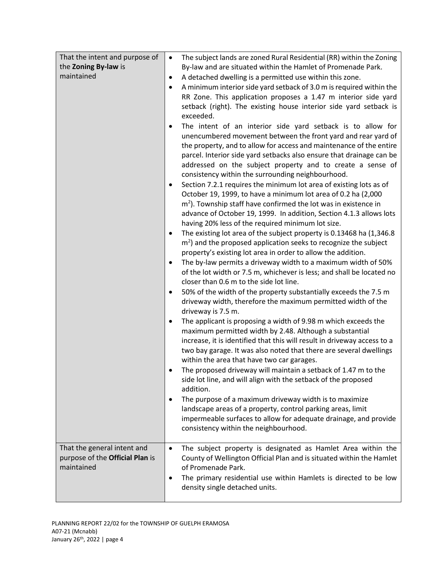| That the intent and purpose of  | The subject lands are zoned Rural Residential (RR) within the Zoning<br>$\bullet$                                                    |  |
|---------------------------------|--------------------------------------------------------------------------------------------------------------------------------------|--|
| the Zoning By-law is            | By-law and are situated within the Hamlet of Promenade Park.                                                                         |  |
| maintained                      | A detached dwelling is a permitted use within this zone.<br>$\bullet$                                                                |  |
|                                 | A minimum interior side yard setback of 3.0 m is required within the<br>$\bullet$                                                    |  |
|                                 | RR Zone. This application proposes a 1.47 m interior side yard                                                                       |  |
|                                 | setback (right). The existing house interior side yard setback is                                                                    |  |
|                                 | exceeded.                                                                                                                            |  |
|                                 | The intent of an interior side yard setback is to allow for<br>$\bullet$                                                             |  |
|                                 | unencumbered movement between the front yard and rear yard of<br>the property, and to allow for access and maintenance of the entire |  |
|                                 | parcel. Interior side yard setbacks also ensure that drainage can be                                                                 |  |
|                                 | addressed on the subject property and to create a sense of                                                                           |  |
|                                 | consistency within the surrounding neighbourhood.                                                                                    |  |
|                                 | Section 7.2.1 requires the minimum lot area of existing lots as of<br>$\bullet$                                                      |  |
|                                 | October 19, 1999, to have a minimum lot area of 0.2 ha (2,000                                                                        |  |
|                                 | $m2$ ). Township staff have confirmed the lot was in existence in                                                                    |  |
|                                 | advance of October 19, 1999. In addition, Section 4.1.3 allows lots                                                                  |  |
|                                 | having 20% less of the required minimum lot size.                                                                                    |  |
|                                 | The existing lot area of the subject property is 0.13468 ha (1,346.8)<br>$\bullet$                                                   |  |
|                                 | $\text{m}^2$ ) and the proposed application seeks to recognize the subject                                                           |  |
|                                 | property's existing lot area in order to allow the addition.<br>The by-law permits a driveway width to a maximum width of 50%        |  |
|                                 | of the lot width or 7.5 m, whichever is less; and shall be located no                                                                |  |
|                                 | closer than 0.6 m to the side lot line.                                                                                              |  |
|                                 | 50% of the width of the property substantially exceeds the 7.5 m                                                                     |  |
|                                 | driveway width, therefore the maximum permitted width of the                                                                         |  |
|                                 | driveway is 7.5 m.                                                                                                                   |  |
|                                 | The applicant is proposing a width of 9.98 m which exceeds the<br>$\bullet$                                                          |  |
|                                 | maximum permitted width by 2.48. Although a substantial                                                                              |  |
|                                 | increase, it is identified that this will result in driveway access to a                                                             |  |
|                                 | two bay garage. It was also noted that there are several dwellings                                                                   |  |
|                                 | within the area that have two car garages.                                                                                           |  |
|                                 | The proposed driveway will maintain a setback of 1.47 m to the<br>side lot line, and will align with the setback of the proposed     |  |
|                                 | addition.                                                                                                                            |  |
|                                 | The purpose of a maximum driveway width is to maximize<br>$\bullet$                                                                  |  |
|                                 | landscape areas of a property, control parking areas, limit                                                                          |  |
|                                 | impermeable surfaces to allow for adequate drainage, and provide                                                                     |  |
|                                 | consistency within the neighbourhood.                                                                                                |  |
|                                 |                                                                                                                                      |  |
| That the general intent and     | The subject property is designated as Hamlet Area within the<br>$\bullet$                                                            |  |
| purpose of the Official Plan is | County of Wellington Official Plan and is situated within the Hamlet                                                                 |  |
| maintained                      | of Promenade Park.                                                                                                                   |  |
|                                 | The primary residential use within Hamlets is directed to be low<br>$\bullet$<br>density single detached units.                      |  |
|                                 |                                                                                                                                      |  |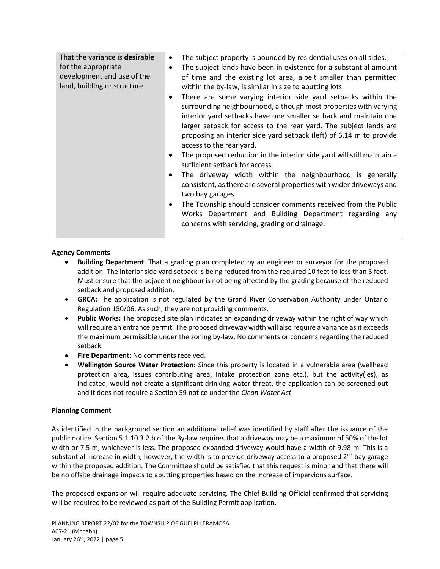| That the variance is desirable<br>for the appropriate<br>development and use of the<br>land, building or structure | The subject property is bounded by residential uses on all sides.<br>٠<br>The subject lands have been in existence for a substantial amount<br>of time and the existing lot area, albeit smaller than permitted<br>within the by-law, is similar in size to abutting lots.<br>There are some varying interior side yard setbacks within the |
|--------------------------------------------------------------------------------------------------------------------|---------------------------------------------------------------------------------------------------------------------------------------------------------------------------------------------------------------------------------------------------------------------------------------------------------------------------------------------|
|                                                                                                                    | surrounding neighbourhood, although most properties with varying<br>interior yard setbacks have one smaller setback and maintain one<br>larger setback for access to the rear yard. The subject lands are<br>proposing an interior side yard setback (left) of 6.14 m to provide<br>access to the rear yard.                                |
|                                                                                                                    | The proposed reduction in the interior side yard will still maintain a<br>sufficient setback for access.<br>The driveway width within the neighbourhood is generally<br>consistent, as there are several properties with wider driveways and<br>two bay garages.                                                                            |
|                                                                                                                    | The Township should consider comments received from the Public<br>Works Department and Building Department regarding any<br>concerns with servicing, grading or drainage.                                                                                                                                                                   |

## **Agency Comments**

- **Building Department**: That a grading plan completed by an engineer or surveyor for the proposed addition. The interior side yard setback is being reduced from the required 10 feet to less than 5 feet. Must ensure that the adjacent neighbour is not being affected by the grading because of the reduced setback and proposed addition.
- **GRCA:** The application is not regulated by the Grand River Conservation Authority under Ontario Regulation 150/06. As such, they are not providing comments.
- **Public Works:** The proposed site plan indicates an expanding driveway within the right of way which will require an entrance permit. The proposed driveway width will also require a variance as it exceeds the maximum permissible under the zoning by-law. No comments or concerns regarding the reduced setback.
- **Fire Department:** No comments received.
- **Wellington Source Water Protection:** Since this property is located in a vulnerable area (wellhead protection area, issues contributing area, intake protection zone etc.), but the activity(ies), as indicated, would not create a significant drinking water threat, the application can be screened out and it does not require a Section 59 notice under the *Clean Water Act*.

## **Planning Comment**

As identified in the background section an additional relief was identified by staff after the issuance of the public notice. Section 5.1.10.3.2.b of the By-law requires that a driveway may be a maximum of 50% of the lot width or 7.5 m, whichever is less. The proposed expanded driveway would have a width of 9.98 m. This is a substantial increase in width; however, the width is to provide driveway access to a proposed  $2<sup>nd</sup>$  bay garage within the proposed addition. The Committee should be satisfied that this request is minor and that there will be no offsite drainage impacts to abutting properties based on the increase of impervious surface.

The proposed expansion will require adequate servicing. The Chief Building Official confirmed that servicing will be required to be reviewed as part of the Building Permit application.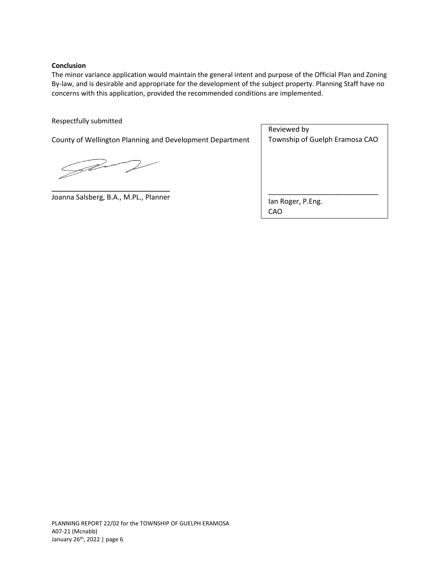### **Conclusion**

The minor variance application would maintain the general intent and purpose of the Official Plan and Zoning By-law, and is desirable and appropriate for the development of the subject property. Planning Staff have no concerns with this application, provided the recommended conditions are implemented.

### Respectfully submitted

County of Wellington Planning and Development Department

Jav

\_\_\_\_\_\_\_\_\_\_\_\_\_\_\_\_\_\_\_\_\_\_\_\_\_\_\_\_\_\_ Joanna Salsberg, B.A., M.PL., Planner

Reviewed by Township of Guelph Eramosa CAO

\_\_\_\_\_\_\_\_\_\_\_\_\_\_\_\_\_\_\_\_\_\_\_\_\_\_\_\_

Ian Roger, P.Eng. CAO